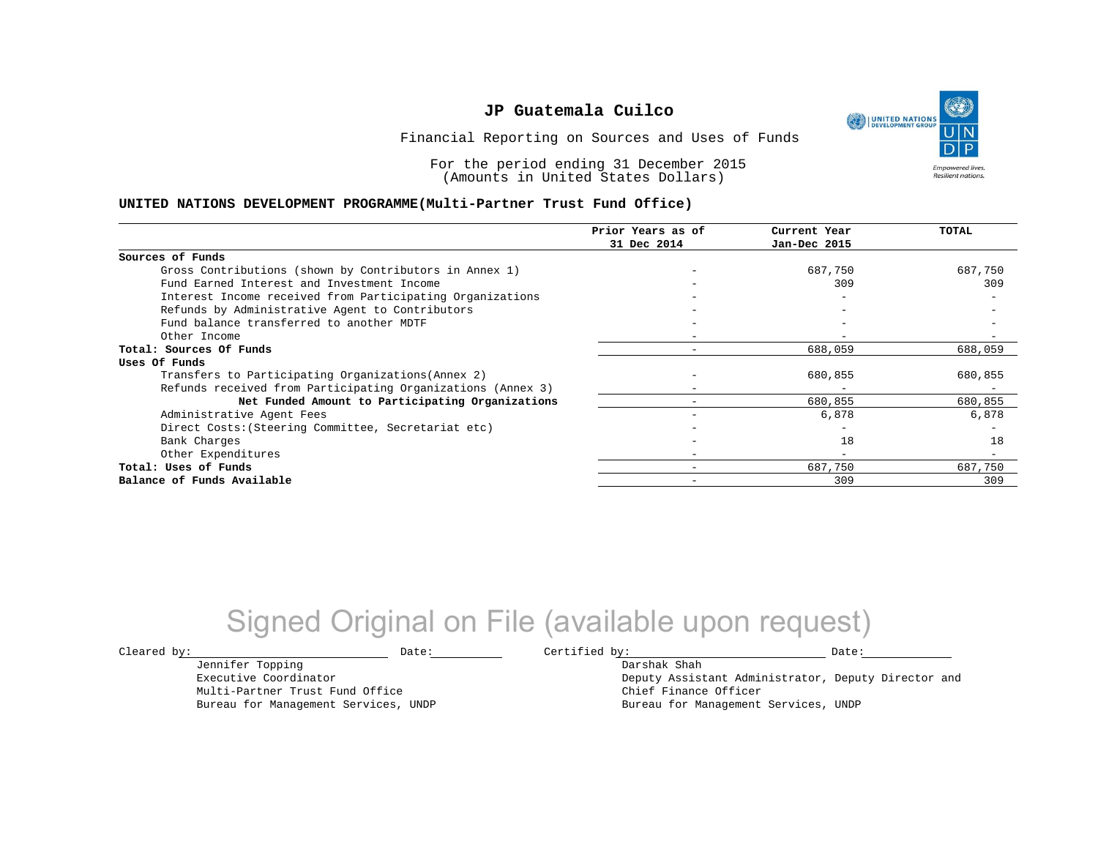UNITED NATIONS **Empowered lives Resilient nations.** 

Financial Reporting on Sources and Uses of Funds

For the period ending 31 December 2015 (Amounts in United States Dollars)

#### **UNITED NATIONS DEVELOPMENT PROGRAMME(Multi-Partner Trust Fund Office)**

|                                                             | Prior Years as of        | Current Year             | TOTAL   |
|-------------------------------------------------------------|--------------------------|--------------------------|---------|
|                                                             | 31 Dec 2014              | Jan-Dec 2015             |         |
| Sources of Funds                                            |                          |                          |         |
| Gross Contributions (shown by Contributors in Annex 1)      |                          | 687,750                  | 687,750 |
| Fund Earned Interest and Investment Income                  |                          | 309                      | 309     |
| Interest Income received from Participating Organizations   |                          |                          |         |
| Refunds by Administrative Agent to Contributors             |                          |                          |         |
| Fund balance transferred to another MDTF                    |                          |                          |         |
| Other Income                                                |                          |                          |         |
| Total: Sources Of Funds                                     |                          | 688,059                  | 688,059 |
| Uses Of Funds                                               |                          |                          |         |
| Transfers to Participating Organizations (Annex 2)          |                          | 680,855                  | 680,855 |
| Refunds received from Participating Organizations (Annex 3) |                          | $\overline{\phantom{m}}$ |         |
| Net Funded Amount to Participating Organizations            |                          | 680,855                  | 680,855 |
| Administrative Agent Fees                                   |                          | 6,878                    | 6,878   |
| Direct Costs: (Steering Committee, Secretariat etc)         |                          |                          |         |
| Bank Charges                                                |                          | 18                       | 18      |
| Other Expenditures                                          | $\overline{\phantom{0}}$ | $\overline{\phantom{0}}$ |         |
| Total: Uses of Funds                                        |                          | 687,750                  | 687,750 |
| Balance of Funds Available                                  | $\overline{\phantom{0}}$ | 309                      | 309     |

# Signed Original on File (available upon request)

 $\texttt{Cleared by:}\footnotesize \begin{minipage}{14pt} \begin{tabular}{p{0.87\textwidth}p{0.87\textwidth}} \centering \end{tabular} \end{minipage}$ 

Jennifer Topping Executive Coordinator

Multi-Partner Trust Fund Office Bureau for Management Services, UNDP

Darshak Shah Deputy Assistant Administrator, Deputy Director and Chief Finance Officer Bureau for Management Services, UNDP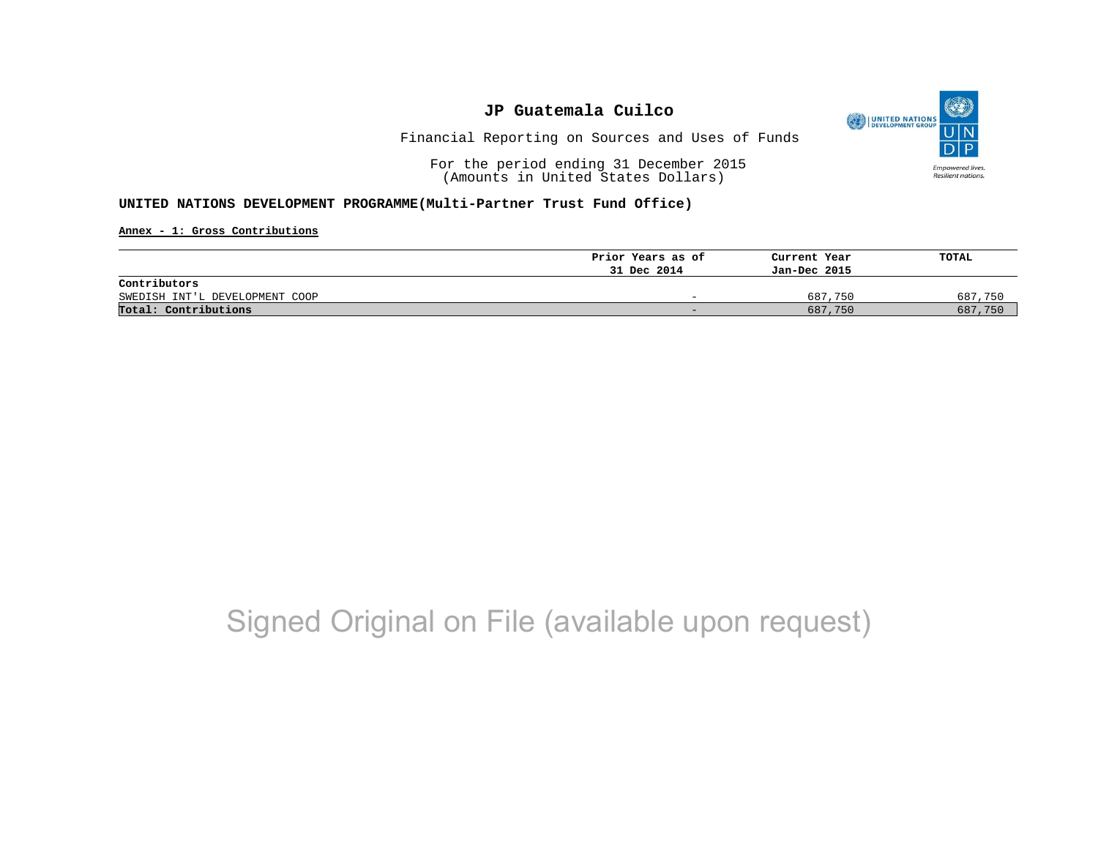

Financial Reporting on Sources and Uses of Funds

For the period ending 31 December 2015 (Amounts in United States Dollars)

#### **UNITED NATIONS DEVELOPMENT PROGRAMME(Multi-Partner Trust Fund Office)**

**Annex - 1: Gross Contributions**

|                                | Prior Years as of | Current Year | TOTAL   |
|--------------------------------|-------------------|--------------|---------|
|                                | 31 Dec 2014       | Jan-Dec 2015 |         |
| Contributors                   |                   |              |         |
| SWEDISH INT'L DEVELOPMENT COOP | -                 | 687,750      | 687,750 |
| Total: Contributions           | -                 | 687,750      | 687,750 |

# Signed Original on File (available upon request)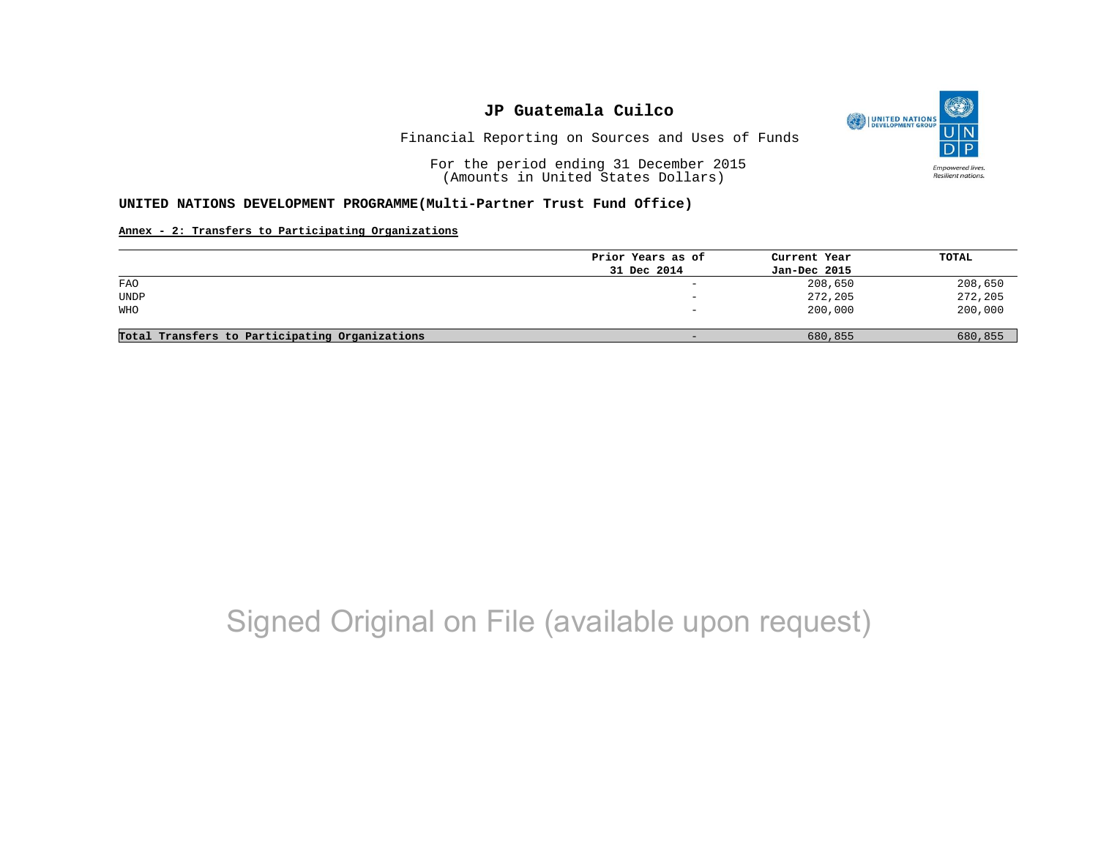O UNITED NATIONS **Empowered lives** Resilient nations.

Financial Reporting on Sources and Uses of Funds

For the period ending 31 December 2015 (Amounts in United States Dollars)

#### **UNITED NATIONS DEVELOPMENT PROGRAMME(Multi-Partner Trust Fund Office)**

#### **Annex - 2: Transfers to Participating Organizations**

|                                                | Prior Years as of | Current Year | TOTAL   |
|------------------------------------------------|-------------------|--------------|---------|
|                                                | 31 Dec 2014       | Jan-Dec 2015 |         |
| FAO                                            | -                 | 208,650      | 208,650 |
| UNDP                                           | -                 | 272,205      | 272,205 |
| WHO                                            |                   | 200,000      | 200,000 |
| Total Transfers to Participating Organizations | -                 | 680,855      | 680,855 |

# Signed Original on File (available upon request)